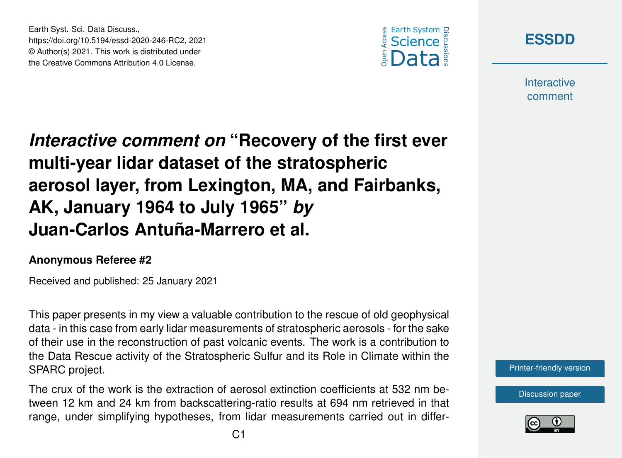





**Interactive** comment

## *Interactive comment on* **"Recovery of the first ever multi-year lidar dataset of the stratospheric aerosol layer, from Lexington, MA, and Fairbanks, AK, January 1964 to July 1965"** *by* **Juan-Carlos Antuña-Marrero et al.**

## **Anonymous Referee #2**

Earth Syst. Sci. Data Discuss.,

Received and published: 25 January 2021

This paper presents in my view a valuable contribution to the rescue of old geophysical data - in this case from early lidar measurements of stratospheric aerosols - for the sake of their use in the reconstruction of past volcanic events. The work is a contribution to the Data Rescue activity of the Stratospheric Sulfur and its Role in Climate within the SPARC project.

The crux of the work is the extraction of aerosol extinction coefficients at 532 nm between 12 km and 24 km from backscattering-ratio results at 694 nm retrieved in that range, under simplifying hypotheses, from lidar measurements carried out in differ[Printer-friendly version](https://essd.copernicus.org/preprints/essd-2020-246/essd-2020-246-RC2-print.pdf)

[Discussion paper](https://essd.copernicus.org/preprints/essd-2020-246)